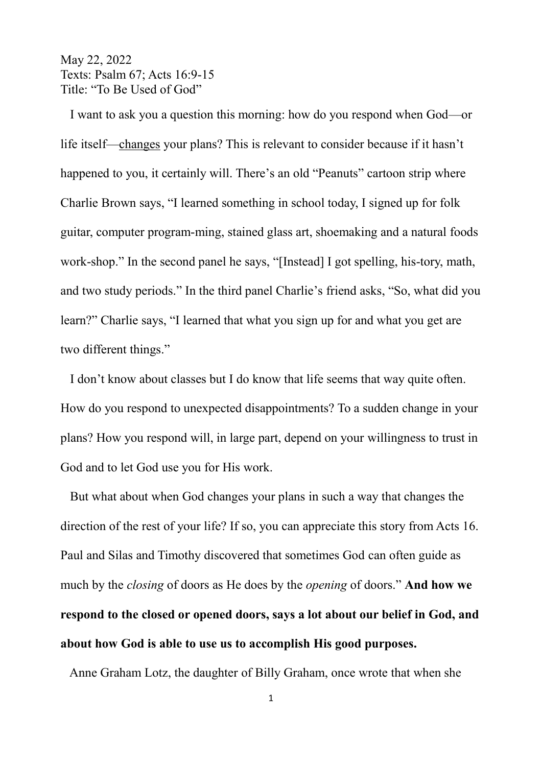May 22, 2022 Texts: Psalm 67; Acts 16:9-15 Title: "To Be Used of God"

 I want to ask you a question this morning: how do you respond when God—or life itself—changes your plans? This is relevant to consider because if it hasn't happened to you, it certainly will. There's an old "Peanuts" cartoon strip where Charlie Brown says, "I learned something in school today, I signed up for folk guitar, computer program-ming, stained glass art, shoemaking and a natural foods work-shop." In the second panel he says, "[Instead] I got spelling, his-tory, math, and two study periods." In the third panel Charlie's friend asks, "So, what did you learn?" Charlie says, "I learned that what you sign up for and what you get are two different things."

 I don't know about classes but I do know that life seems that way quite often. How do you respond to unexpected disappointments? To a sudden change in your plans? How you respond will, in large part, depend on your willingness to trust in God and to let God use you for His work.

 But what about when God changes your plans in such a way that changes the direction of the rest of your life? If so, you can appreciate this story from Acts 16. Paul and Silas and Timothy discovered that sometimes God can often guide as much by the *closing* of doors as He does by the *opening* of doors." **And how we respond to the closed or opened doors, says a lot about our belief in God, and about how God is able to use us to accomplish His good purposes.** 

Anne Graham Lotz, the daughter of Billy Graham, once wrote that when she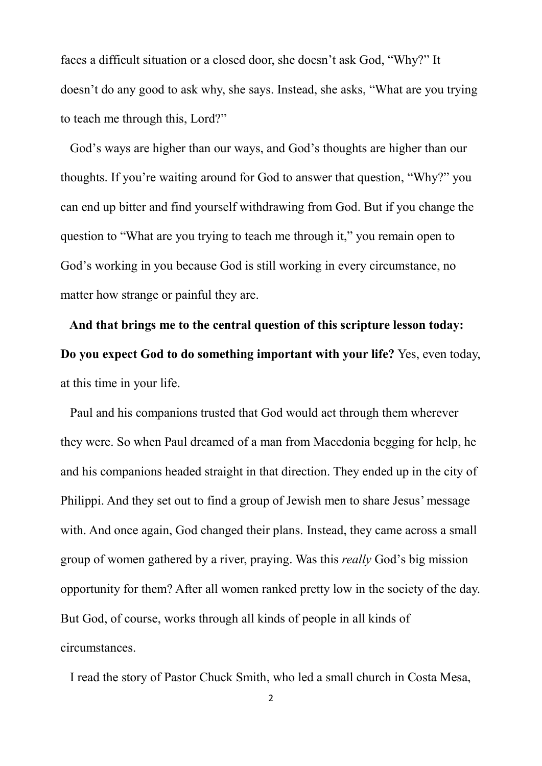faces a difficult situation or a closed door, she doesn't ask God, "Why?" It doesn't do any good to ask why, she says. Instead, she asks, "What are you trying to teach me through this, Lord?"

 God's ways are higher than our ways, and God's thoughts are higher than our thoughts. If you're waiting around for God to answer that question, "Why?" you can end up bitter and find yourself withdrawing from God. But if you change the question to "What are you trying to teach me through it," you remain open to God's working in you because God is still working in every circumstance, no matter how strange or painful they are.

 **And that brings me to the central question of this scripture lesson today: Do you expect God to do something important with your life?** Yes, even today, at this time in your life.

 Paul and his companions trusted that God would act through them wherever they were. So when Paul dreamed of a man from Macedonia begging for help, he and his companions headed straight in that direction. They ended up in the city of Philippi. And they set out to find a group of Jewish men to share Jesus' message with. And once again, God changed their plans. Instead, they came across a small group of women gathered by a river, praying. Was this *really* God's big mission opportunity for them? After all women ranked pretty low in the society of the day. But God, of course, works through all kinds of people in all kinds of circumstances.

I read the story of Pastor Chuck Smith, who led a small church in Costa Mesa,

2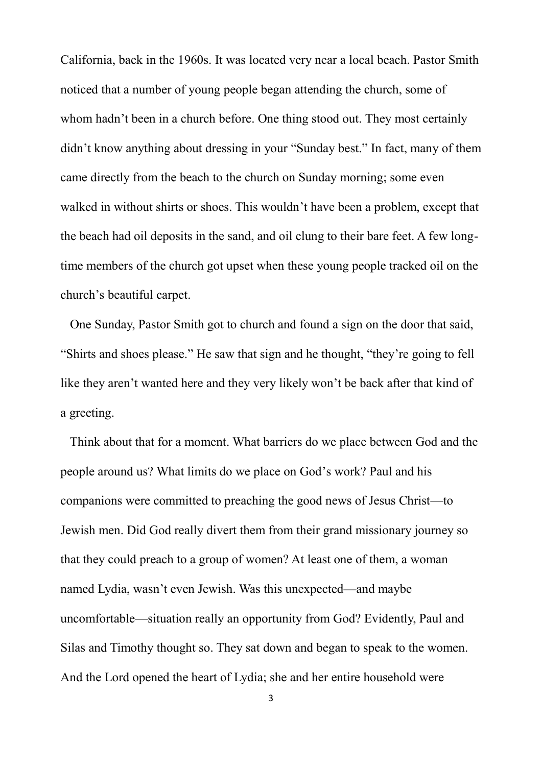California, back in the 1960s. It was located very near a local beach. Pastor Smith noticed that a number of young people began attending the church, some of whom hadn't been in a church before. One thing stood out. They most certainly didn't know anything about dressing in your "Sunday best." In fact, many of them came directly from the beach to the church on Sunday morning; some even walked in without shirts or shoes. This wouldn't have been a problem, except that the beach had oil deposits in the sand, and oil clung to their bare feet. A few longtime members of the church got upset when these young people tracked oil on the church's beautiful carpet.

 One Sunday, Pastor Smith got to church and found a sign on the door that said, "Shirts and shoes please." He saw that sign and he thought, "they're going to fell like they aren't wanted here and they very likely won't be back after that kind of a greeting.

 Think about that for a moment. What barriers do we place between God and the people around us? What limits do we place on God's work? Paul and his companions were committed to preaching the good news of Jesus Christ—to Jewish men. Did God really divert them from their grand missionary journey so that they could preach to a group of women? At least one of them, a woman named Lydia, wasn't even Jewish. Was this unexpected—and maybe uncomfortable—situation really an opportunity from God? Evidently, Paul and Silas and Timothy thought so. They sat down and began to speak to the women. And the Lord opened the heart of Lydia; she and her entire household were

3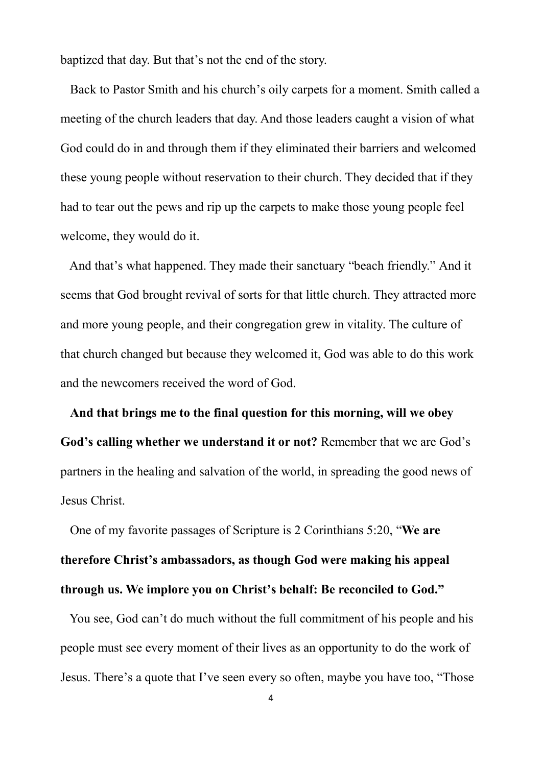baptized that day. But that's not the end of the story.

 Back to Pastor Smith and his church's oily carpets for a moment. Smith called a meeting of the church leaders that day. And those leaders caught a vision of what God could do in and through them if they eliminated their barriers and welcomed these young people without reservation to their church. They decided that if they had to tear out the pews and rip up the carpets to make those young people feel welcome, they would do it.

 And that's what happened. They made their sanctuary "beach friendly." And it seems that God brought revival of sorts for that little church. They attracted more and more young people, and their congregation grew in vitality. The culture of that church changed but because they welcomed it, God was able to do this work and the newcomers received the word of God.

 **And that brings me to the final question for this morning, will we obey God's calling whether we understand it or not?** Remember that we are God's partners in the healing and salvation of the world, in spreading the good news of Jesus Christ.

 One of my favorite passages of Scripture is 2 Corinthians 5:20, "**We are therefore Christ's ambassadors, as though God were making his appeal through us. We implore you on Christ's behalf: Be reconciled to God."**

 You see, God can't do much without the full commitment of his people and his people must see every moment of their lives as an opportunity to do the work of Jesus. There's a quote that I've seen every so often, maybe you have too, "Those